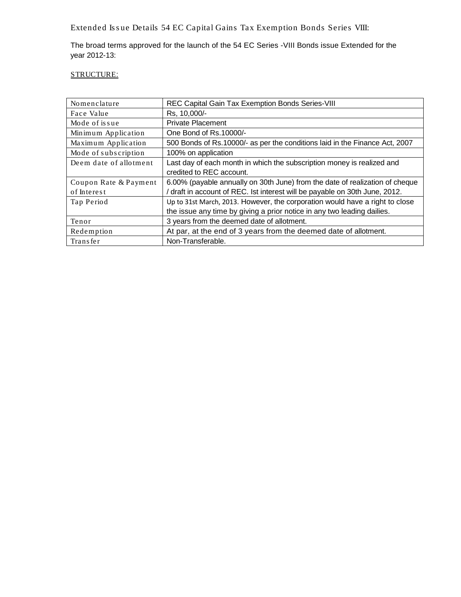Extended Issue Details 54 EC Capital Gains Tax Exemption Bonds Series VIII:

The broad terms approved for the launch of the 54 EC Series -VIII Bonds issue Extended for the year 2012-13:

## STRUCTURE:

| Nomenclature           | REC Capital Gain Tax Exemption Bonds Series-VIII                             |
|------------------------|------------------------------------------------------------------------------|
| Face Value             | Rs, 10,000/-                                                                 |
| Mode of issue          | <b>Private Placement</b>                                                     |
| Minimum Application    | One Bond of Rs.10000/-                                                       |
| Maximum Application    | 500 Bonds of Rs.10000/- as per the conditions laid in the Finance Act, 2007  |
| Mode of subscription   | 100% on application                                                          |
| Deem date of allotment | Last day of each month in which the subscription money is realized and       |
|                        | credited to REC account.                                                     |
| Coupon Rate & Payment  | 6.00% (payable annually on 30th June) from the date of realization of cheque |
| of Interest            | draft in account of REC. Ist interest will be payable on 30th June, 2012.    |
| Tap Period             | Up to 31st March, 2013. However, the corporation would have a right to close |
|                        | the issue any time by giving a prior notice in any two leading dailies.      |
| Tenor                  | 3 years from the deemed date of allotment.                                   |
| Redemption             | At par, at the end of 3 years from the deemed date of allotment.             |
| <b>Transfer</b>        | Non-Transferable.                                                            |